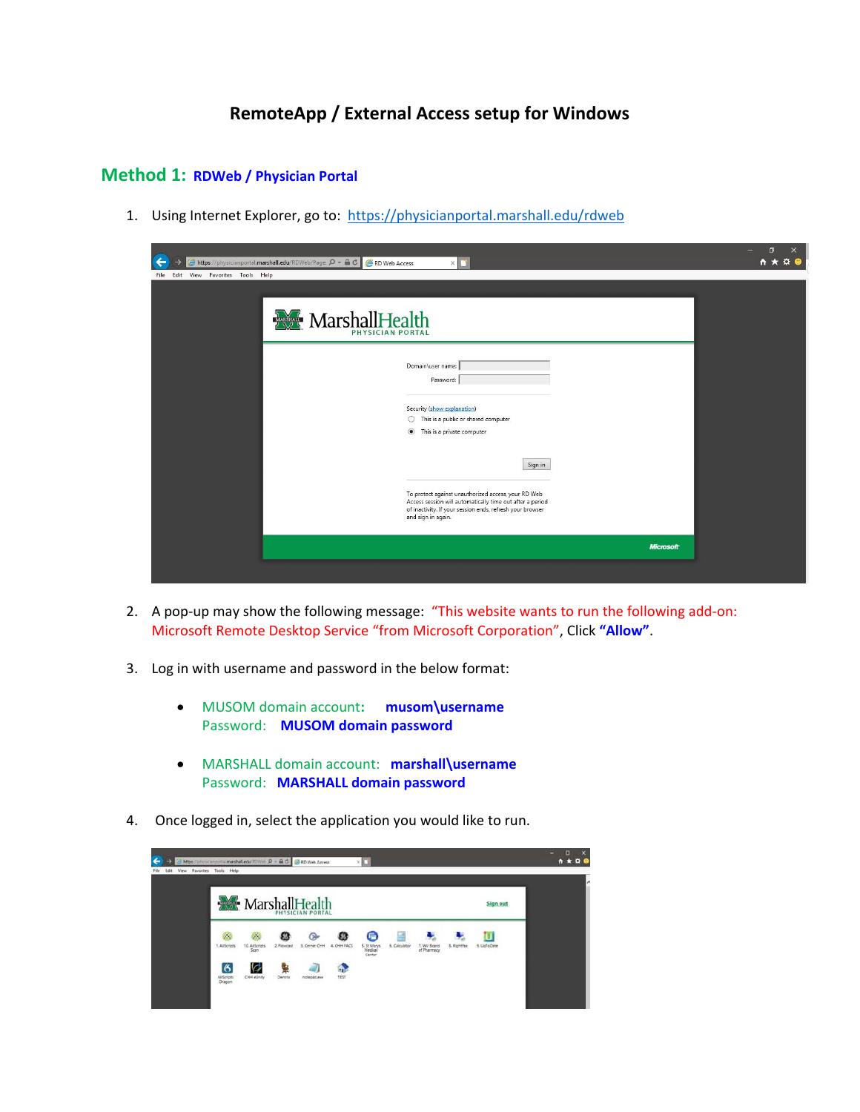## **RemoteApp / External Access setup for Windows**

## **Method 1: RDWeb / Physician Portal**

1. Using Internet Explorer, go to: https://physicianportal.marshall.edu/rdweb

| $\leftarrow$<br>https://physicianportal.marshall.edu/RDWeb/Page: $\mathcal{P}$ + $\triangleq$ C<br>RD Web Access<br>$\times$                                                                                                                                                                                                                                                                                                                    |                  | $\Box$<br>$\times$<br>← ★<br>¤ € |
|-------------------------------------------------------------------------------------------------------------------------------------------------------------------------------------------------------------------------------------------------------------------------------------------------------------------------------------------------------------------------------------------------------------------------------------------------|------------------|----------------------------------|
| View Favorites Tools Help<br>File Edit<br>MarshallHealth<br>Domain\user name:<br>Password:<br>Security (show explanation)<br>This is a public or shared computer<br>$\circ$<br>$\circledbullet$<br>This is a private computer<br>Sign in<br>To protect against unauthorized access, your RD Web<br>Access session will automatically time out after a period<br>of inactivity. If your session ends, refresh your browser<br>and sign in again. |                  |                                  |
|                                                                                                                                                                                                                                                                                                                                                                                                                                                 | <b>Microsoft</b> |                                  |
|                                                                                                                                                                                                                                                                                                                                                                                                                                                 |                  |                                  |

- 2. A pop-up may show the following message: "This website wants to run the following add-on: Microsoft Remote Desktop Service "from Microsoft Corporation", Click **"Allow"**.
- 3. Log in with username and password in the below format:
	- MUSOM domain account**: musom\username** Password: **MUSOM domain password**
	- MARSHALL domain account: **marshall\username** Password: **MARSHALL domain password**
- 4. Once logged in, select the application you would like to run.

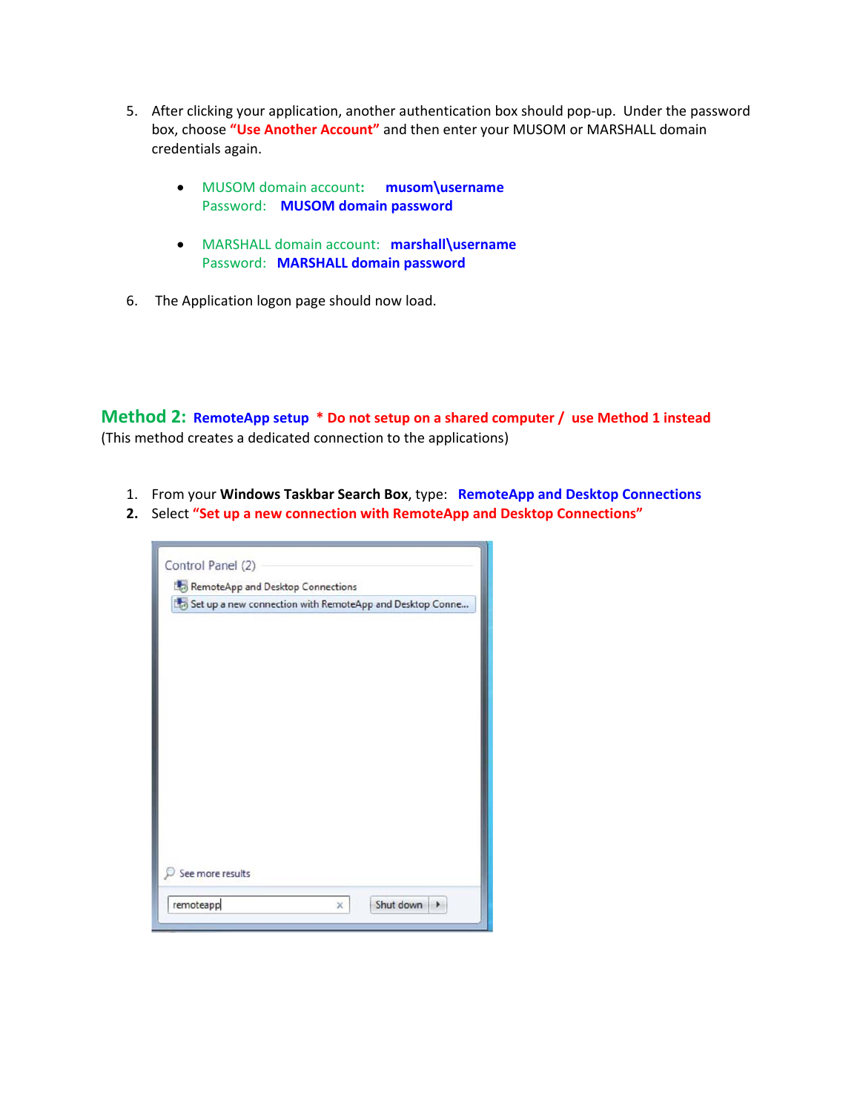- 5. After clicking your application, another authentication box should pop-up. Under the password box, choose **"Use Another Account"** and then enter your MUSOM or MARSHALL domain credentials again.
	- MUSOM domain account**: musom\username** Password: **MUSOM domain password**
	- MARSHALL domain account: **marshall\username** Password: **MARSHALL domain password**
- 6. The Application logon page should now load.

**Method 2: RemoteApp setup \* Do not setup on a shared computer / use Method 1 instead**  (This method creates a dedicated connection to the applications)

- 1. From your **Windows Taskbar Search Box**, type: **RemoteApp and Desktop Connections**
- **2.** Select **"Set up a new connection with RemoteApp and Desktop Connections"**

| Set up a new connection with RemoteApp and Desktop Conne |  |  |
|----------------------------------------------------------|--|--|
|                                                          |  |  |
|                                                          |  |  |
|                                                          |  |  |
|                                                          |  |  |
|                                                          |  |  |
|                                                          |  |  |
|                                                          |  |  |
|                                                          |  |  |
|                                                          |  |  |
|                                                          |  |  |
| See more results                                         |  |  |